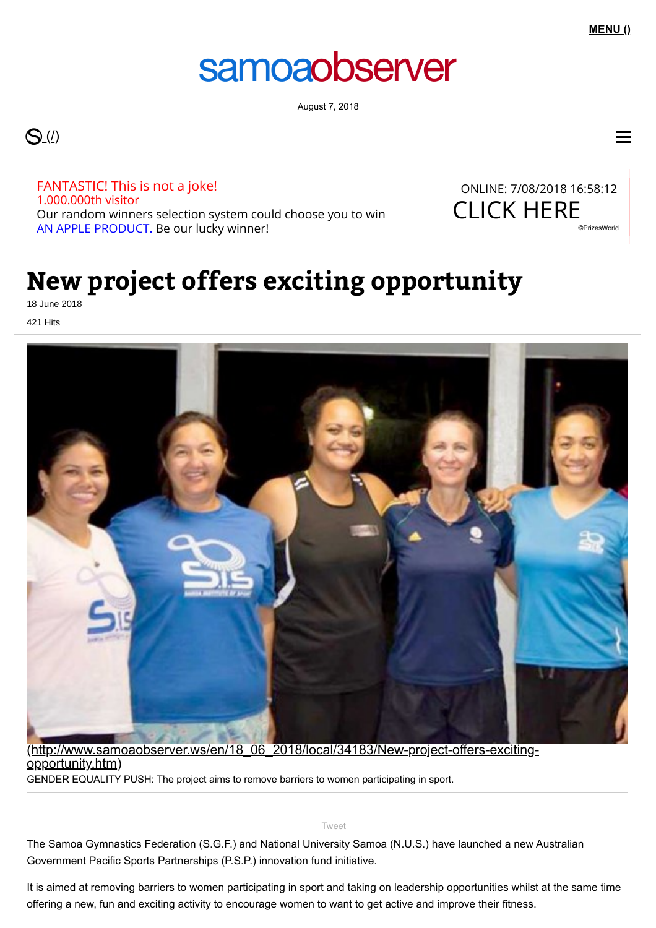# samoaobserver

[August 7, 2018](https://www.timeanddate.com/worldclock/samoa/apia)

### $O(4)$

1.000.000th visitor FANTASTIC! This is not a joke! Our random winners selection system could choose you to win AN APPLE PRODUCT. Be our lucky winner!



## **New project offers exciting opportunity**

18 June 2018

421 Hits



[\(http://www.samoaobserver.ws/en/18\\_06\\_2018/local/34183/New-project-offers-exciting](http://www.samoaobserver.ws/en/18_06_2018/local/34183/New-project-offers-exciting-opportunity.htm)opportunity.htm) GENDER EQUALITY PUSH: The project aims to remove barriers to women participating in sport.

[Tweet](https://twitter.com/intent/tweet?original_referer=http%3A%2F%2Fwww.samoaobserver.ws%2Fen%2F18_06_2018%2Flocal%2F34183%2FNew-project-offers-exciting-opportunity.htm&ref_src=twsrc%5Etfw&text=New%20project%20offers%20exciting%20opportunity%20%7C%20Samoa%20Observer%20Latest%20breaking%20news%20articles%2C%20photos%2C%20video%2C%20blogs%2C%20reviews%2C%20analysis%2C%20opinion%20and%20reader%20comment%20from%20Samoa%20and%20around%20the%20World%2C%20Latest%20samoan%20news%20articles%2C%20photos%2C%20video%2C%20world%2C%20sport%2C%20technology%2C%20opinion%2C%20editorial%2C%20manu%20samoa&tw_p=tweetbutton&url=http%3A%2F%2Fwww.samoaobserver.ws%2Fen%2F18_06_2018%2Flocal%2F34183%2FNew-project-offers-exciting-opportunity.htm)

The Samoa Gymnastics Federation (S.G.F.) and National University Samoa (N.U.S.) have launched a new Australian Government Pacific Sports Partnerships (P.S.P.) innovation fund initiative.

offering a new, fun and exciting activity to encourage women to want to get active and improve their fitness. It is aimed at removing barriers to women participating in sport and taking on leadership opportunities whilst at the same time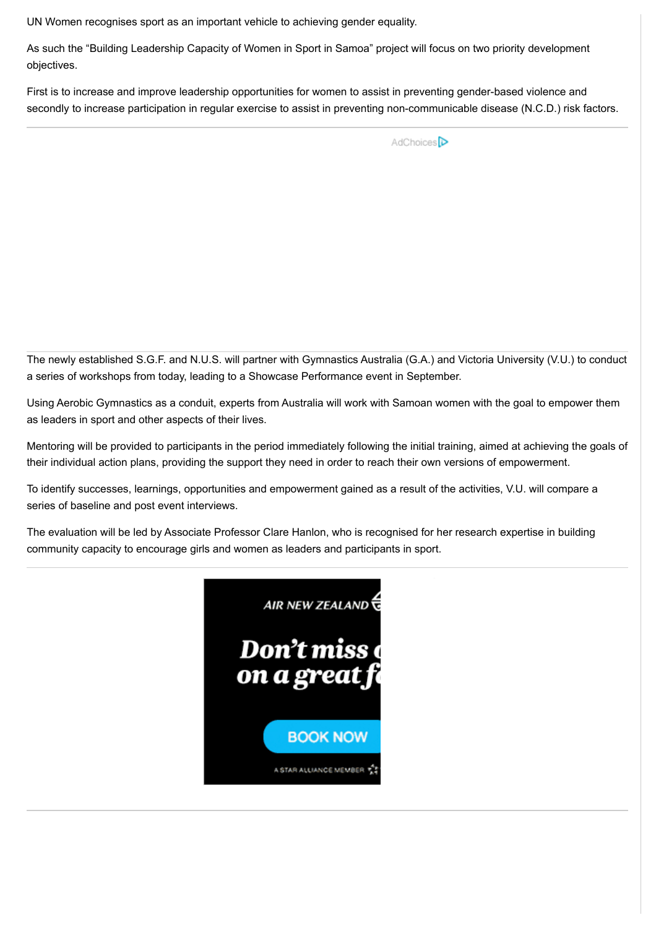UN Women recognises sport as an important vehicle to achieving gender equality.

As such the "Building Leadership Capacity of Women in Sport in Samoa" project will focus on two priority development objectives.

First is to increase and improve leadership opportunities for women to assist in preventing gender-based violence and secondly to increase participation in regular exercise to assist in preventing non-communicable disease (N.C.D.) risk factors.

|  |  |  |  | AdChoices <sup>D</sup> |
|--|--|--|--|------------------------|
|  |  |  |  |                        |

The newly established S.G.F. and N.U.S. will partner with Gymnastics Australia (G.A.) and Victoria University (V.U.) to conduct a series of workshops from today, leading to a Showcase Performance event in September.

Using Aerobic Gymnastics as a conduit, experts from Australia will work with Samoan women with the goal to empower them as leaders in sport and other aspects of their lives.

Mentoring will be provided to participants in the period immediately following the initial training, aimed at achieving the goals of their individual action plans, providing the support they need in order to reach their own versions of empowerment.

To identify successes, learnings, opportunities and empowerment gained as a result of the activities, V.U. will compare a series of baseline and post event interviews.

The evaluation will be led by Associate Professor Clare Hanlon, who is recognised for her research expertise in building community capacity to encourage girls and women as leaders and participants in sport.

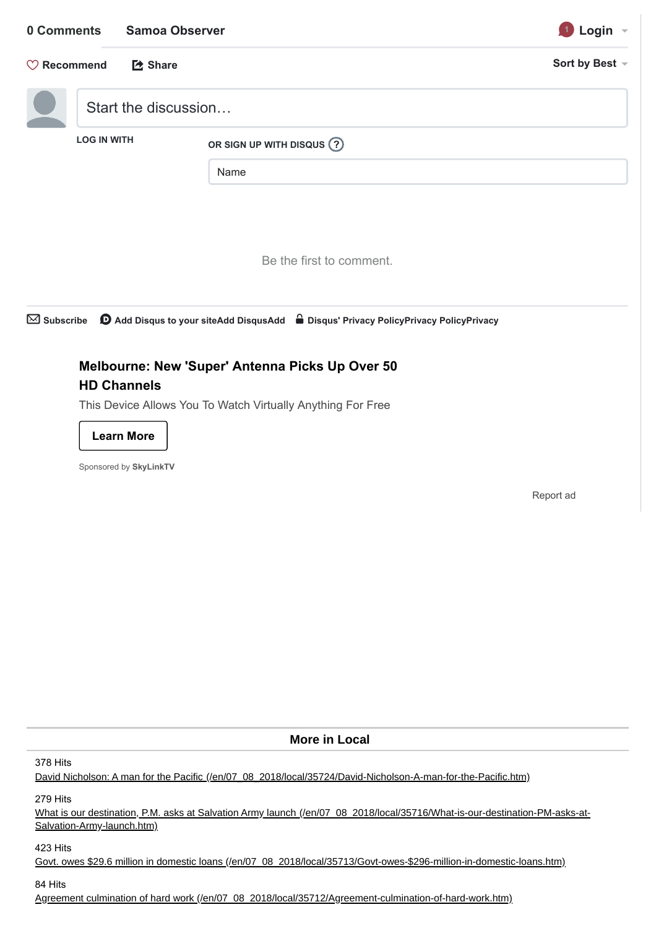| 0 Comments             |                    | <b>Samoa Observer</b>  |                                                                                                                      | $\blacksquare$ Login $\blacktriangledown$ |
|------------------------|--------------------|------------------------|----------------------------------------------------------------------------------------------------------------------|-------------------------------------------|
| $\heartsuit$ Recommend |                    | <b>【2 Share</b>        |                                                                                                                      | Sort by Best ~                            |
|                        |                    | Start the discussion   |                                                                                                                      |                                           |
|                        | <b>LOG IN WITH</b> |                        | OR SIGN UP WITH DISQUS ?                                                                                             |                                           |
|                        |                    |                        | Name                                                                                                                 |                                           |
|                        |                    |                        |                                                                                                                      |                                           |
|                        |                    |                        | Be the first to comment.                                                                                             |                                           |
|                        |                    |                        | $\boxtimes$ Subscribe $\Box$ Add Disqus to your siteAdd DisqusAdd $\Box$ Disqus' Privacy PolicyPrivacy PolicyPrivacy |                                           |
|                        |                    | <b>HD Channels</b>     | Melbourne: New 'Super' Antenna Picks Up Over 50                                                                      |                                           |
|                        |                    |                        | This Device Allows You To Watch Virtually Anything For Free                                                          |                                           |
|                        |                    | <b>Learn More</b>      |                                                                                                                      |                                           |
|                        |                    | Sponsored by SkyLinkTV |                                                                                                                      |                                           |
|                        |                    |                        |                                                                                                                      | Report ad                                 |

|  |  | More in Local |
|--|--|---------------|
|--|--|---------------|

378 Hits

[David Nicholson: A man for the Pacific \(/en/07\\_08\\_2018/local/35724/David-Nicholson-A-man-for-the-Pacific.htm\)](http://www.samoaobserver.ws/en/07_08_2018/local/35724/David-Nicholson-A-man-for-the-Pacific.htm)

279 Hits

[What is our destination, P.M. asks at Salvation Army launch \(/en/07\\_08\\_2018/local/35716/What-is-our-destination-PM-asks-at-](http://www.samoaobserver.ws/en/07_08_2018/local/35716/What-is-our-destination-PM-asks-at-Salvation-Army-launch.htm)Salvation-Army-launch.htm)

423 Hits

[Govt. owes \\$29.6 million in domestic loans \(/en/07\\_08\\_2018/local/35713/Govt-owes-\\$296-million-in-domestic-loans.htm\)](http://www.samoaobserver.ws/en/07_08_2018/local/35713/Govt-owes-$296-million-in-domestic-loans.htm)

84 Hits

[Agreement culmination of hard work \(/en/07\\_08\\_2018/local/35712/Agreement-culmination-of-hard-work.htm\)](http://www.samoaobserver.ws/en/07_08_2018/local/35712/Agreement-culmination-of-hard-work.htm)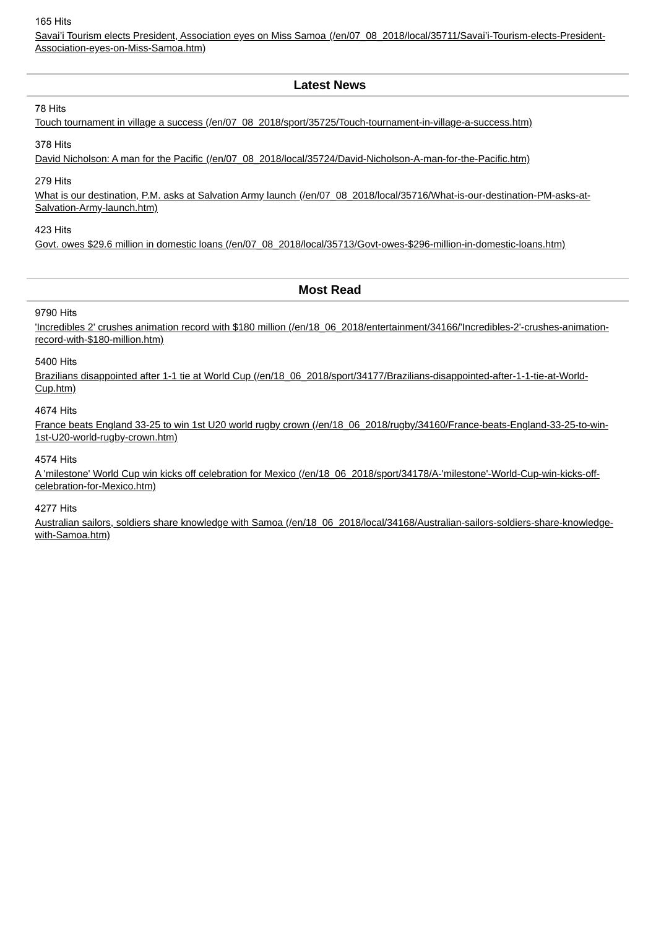#### 8/7/2018 News project of exciting opportunity in Samoa Observer Latest breaking news articles, photos, photos, photos, photos, photos, reviews, analysis, reviews, analysis, opini… in the contract of exciting  $\alpha$ 165 Hits

[Savai'i Tourism elects President, Association eyes on Miss Samoa \(/en/07\\_08\\_2018/local/35711/Savai'i-Tourism-elects-President-](http://www.samoaobserver.ws/en/07_08_2018/local/35711/Savai%E2%80%99i-Tourism-elects-President-Association-eyes-on-Miss-Samoa.htm)Association-eyes-on-Miss-Samoa.htm)

#### **Latest News**

#### 78 Hits

[Touch tournament in village a success \(/en/07\\_08\\_2018/sport/35725/Touch-tournament-in-village-a-success.htm\)](http://www.samoaobserver.ws/en/07_08_2018/sport/35725/Touch-tournament-in-village-a-success.htm)

378 Hits

[David Nicholson: A man for the Pacific \(/en/07\\_08\\_2018/local/35724/David-Nicholson-A-man-for-the-Pacific.htm\)](http://www.samoaobserver.ws/en/07_08_2018/local/35724/David-Nicholson-A-man-for-the-Pacific.htm)

279 Hits

[What is our destination, P.M. asks at Salvation Army launch \(/en/07\\_08\\_2018/local/35716/What-is-our-destination-PM-asks-at-](http://www.samoaobserver.ws/en/07_08_2018/local/35716/What-is-our-destination-PM-asks-at-Salvation-Army-launch.htm)Salvation-Army-launch.htm)

423 Hits

[Govt. owes \\$29.6 million in domestic loans \(/en/07\\_08\\_2018/local/35713/Govt-owes-\\$296-million-in-domestic-loans.htm\)](http://www.samoaobserver.ws/en/07_08_2018/local/35713/Govt-owes-$296-million-in-domestic-loans.htm)

#### **Most Read**

#### 9790 Hits

['Incredibles 2' crushes animation record with \\$180 million \(/en/18\\_06\\_2018/entertainment/34166/'Incredibles-2'-crushes-animation](http://www.samoaobserver.ws/en/18_06_2018/entertainment/34166/)record-with-\$180-million.htm)

5400 Hits

[Brazilians disappointed after 1-1 tie at World Cup \(/en/18\\_06\\_2018/sport/34177/Brazilians-disappointed-after-1-1-tie-at-World-](http://www.samoaobserver.ws/en/18_06_2018/sport/34177/Brazilians-disappointed-after-1-1-tie-at-World-Cup.htm)Cup.htm)

#### 4674 Hits

[France beats England 33-25 to win 1st U20 world rugby crown \(/en/18\\_06\\_2018/rugby/34160/France-beats-England-33-25-to-win-](http://www.samoaobserver.ws/en/18_06_2018/rugby/34160/France-beats-England-33-25-to-win-1st-U20-world-rugby-crown.htm)1st-U20-world-rugby-crown.htm)

4574 Hits

[A 'milestone' World Cup win kicks off celebration for Mexico \(/en/18\\_06\\_2018/sport/34178/A-'milestone'-World-Cup-win-kicks-off](http://www.samoaobserver.ws/en/18_06_2018/sport/34178/A-)celebration-for-Mexico.htm)

4277 Hits

[Australian sailors, soldiers share knowledge with Samoa \(/en/18\\_06\\_2018/local/34168/Australian-sailors-soldiers-share-knowledge](http://www.samoaobserver.ws/en/18_06_2018/local/34168/Australian-sailors-soldiers-share-knowledge-with-Samoa.htm)with-Samoa.htm)